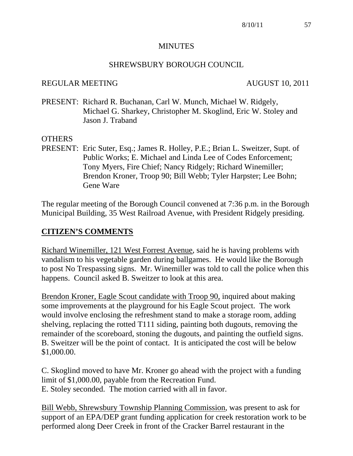#### **MINUTES**

#### SHREWSBURY BOROUGH COUNCIL

#### REGULAR MEETING AUGUST 10, 2011

PRESENT: Richard R. Buchanan, Carl W. Munch, Michael W. Ridgely, Michael G. Sharkey, Christopher M. Skoglind, Eric W. Stoley and Jason J. Traband

#### OTHERS

PRESENT: Eric Suter, Esq.; James R. Holley, P.E.; Brian L. Sweitzer, Supt. of Public Works; E. Michael and Linda Lee of Codes Enforcement; Tony Myers, Fire Chief; Nancy Ridgely; Richard Winemiller; Brendon Kroner, Troop 90; Bill Webb; Tyler Harpster; Lee Bohn; Gene Ware

The regular meeting of the Borough Council convened at 7:36 p.m. in the Borough Municipal Building, 35 West Railroad Avenue, with President Ridgely presiding.

#### **CITIZEN'S COMMENTS**

Richard Winemiller, 121 West Forrest Avenue, said he is having problems with vandalism to his vegetable garden during ballgames. He would like the Borough to post No Trespassing signs. Mr. Winemiller was told to call the police when this happens. Council asked B. Sweitzer to look at this area.

Brendon Kroner, Eagle Scout candidate with Troop 90, inquired about making some improvements at the playground for his Eagle Scout project. The work would involve enclosing the refreshment stand to make a storage room, adding shelving, replacing the rotted T111 siding, painting both dugouts, removing the remainder of the scoreboard, stoning the dugouts, and painting the outfield signs. B. Sweitzer will be the point of contact. It is anticipated the cost will be below \$1,000.00.

C. Skoglind moved to have Mr. Kroner go ahead with the project with a funding limit of \$1,000.00, payable from the Recreation Fund. E. Stoley seconded. The motion carried with all in favor.

Bill Webb, Shrewsbury Township Planning Commission, was present to ask for support of an EPA/DEP grant funding application for creek restoration work to be performed along Deer Creek in front of the Cracker Barrel restaurant in the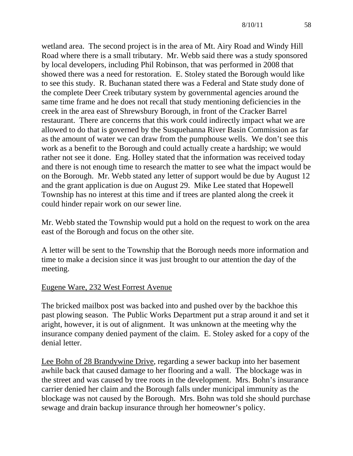wetland area. The second project is in the area of Mt. Airy Road and Windy Hill Road where there is a small tributary. Mr. Webb said there was a study sponsored by local developers, including Phil Robinson, that was performed in 2008 that showed there was a need for restoration. E. Stoley stated the Borough would like to see this study. R. Buchanan stated there was a Federal and State study done of the complete Deer Creek tributary system by governmental agencies around the same time frame and he does not recall that study mentioning deficiencies in the creek in the area east of Shrewsbury Borough, in front of the Cracker Barrel restaurant. There are concerns that this work could indirectly impact what we are allowed to do that is governed by the Susquehanna River Basin Commission as far as the amount of water we can draw from the pumphouse wells. We don't see this work as a benefit to the Borough and could actually create a hardship; we would rather not see it done. Eng. Holley stated that the information was received today and there is not enough time to research the matter to see what the impact would be on the Borough. Mr. Webb stated any letter of support would be due by August 12 and the grant application is due on August 29. Mike Lee stated that Hopewell Township has no interest at this time and if trees are planted along the creek it could hinder repair work on our sewer line.

Mr. Webb stated the Township would put a hold on the request to work on the area east of the Borough and focus on the other site.

A letter will be sent to the Township that the Borough needs more information and time to make a decision since it was just brought to our attention the day of the meeting.

## Eugene Ware, 232 West Forrest Avenue

The bricked mailbox post was backed into and pushed over by the backhoe this past plowing season. The Public Works Department put a strap around it and set it aright, however, it is out of alignment. It was unknown at the meeting why the insurance company denied payment of the claim. E. Stoley asked for a copy of the denial letter.

Lee Bohn of 28 Brandywine Drive, regarding a sewer backup into her basement awhile back that caused damage to her flooring and a wall. The blockage was in the street and was caused by tree roots in the development. Mrs. Bohn's insurance carrier denied her claim and the Borough falls under municipal immunity as the blockage was not caused by the Borough. Mrs. Bohn was told she should purchase sewage and drain backup insurance through her homeowner's policy.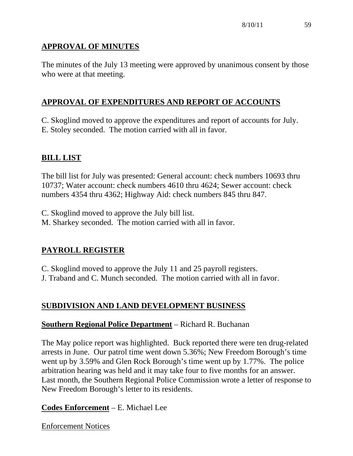# **APPROVAL OF MINUTES**

The minutes of the July 13 meeting were approved by unanimous consent by those who were at that meeting.

# **APPROVAL OF EXPENDITURES AND REPORT OF ACCOUNTS**

C. Skoglind moved to approve the expenditures and report of accounts for July. E. Stoley seconded. The motion carried with all in favor.

## **BILL LIST**

The bill list for July was presented: General account: check numbers 10693 thru 10737; Water account: check numbers 4610 thru 4624; Sewer account: check numbers 4354 thru 4362; Highway Aid: check numbers 845 thru 847.

C. Skoglind moved to approve the July bill list. M. Sharkey seconded. The motion carried with all in favor.

## **PAYROLL REGISTER**

C. Skoglind moved to approve the July 11 and 25 payroll registers.

J. Traband and C. Munch seconded. The motion carried with all in favor.

# **SUBDIVISION AND LAND DEVELOPMENT BUSINESS**

## **Southern Regional Police Department** – Richard R. Buchanan

The May police report was highlighted. Buck reported there were ten drug-related arrests in June. Our patrol time went down 5.36%; New Freedom Borough's time went up by 3.59% and Glen Rock Borough's time went up by 1.77%. The police arbitration hearing was held and it may take four to five months for an answer. Last month, the Southern Regional Police Commission wrote a letter of response to New Freedom Borough's letter to its residents.

## **Codes Enforcement** – E. Michael Lee

Enforcement Notices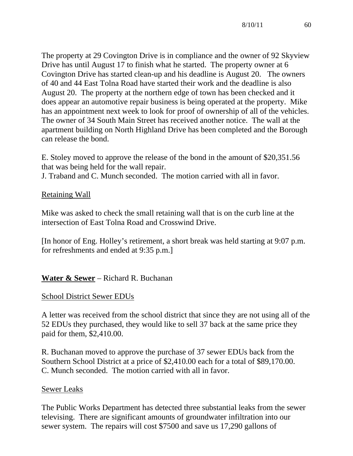The property at 29 Covington Drive is in compliance and the owner of 92 Skyview Drive has until August 17 to finish what he started. The property owner at 6 Covington Drive has started clean-up and his deadline is August 20. The owners of 40 and 44 East Tolna Road have started their work and the deadline is also August 20. The property at the northern edge of town has been checked and it does appear an automotive repair business is being operated at the property. Mike has an appointment next week to look for proof of ownership of all of the vehicles. The owner of 34 South Main Street has received another notice. The wall at the apartment building on North Highland Drive has been completed and the Borough can release the bond.

E. Stoley moved to approve the release of the bond in the amount of \$20,351.56 that was being held for the wall repair.

J. Traband and C. Munch seconded. The motion carried with all in favor.

## Retaining Wall

Mike was asked to check the small retaining wall that is on the curb line at the intersection of East Tolna Road and Crosswind Drive.

[In honor of Eng. Holley's retirement, a short break was held starting at 9:07 p.m. for refreshments and ended at 9:35 p.m.]

## **Water & Sewer** – Richard R. Buchanan

## School District Sewer EDUs

A letter was received from the school district that since they are not using all of the 52 EDUs they purchased, they would like to sell 37 back at the same price they paid for them, \$2,410.00.

R. Buchanan moved to approve the purchase of 37 sewer EDUs back from the Southern School District at a price of \$2,410.00 each for a total of \$89,170.00. C. Munch seconded. The motion carried with all in favor.

## Sewer Leaks

The Public Works Department has detected three substantial leaks from the sewer televising. There are significant amounts of groundwater infiltration into our sewer system. The repairs will cost \$7500 and save us 17,290 gallons of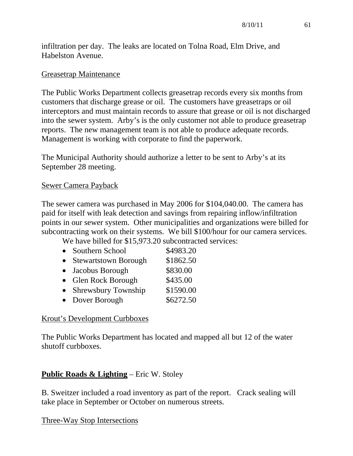infiltration per day. The leaks are located on Tolna Road, Elm Drive, and Habelston Avenue.

#### Greasetrap Maintenance

The Public Works Department collects greasetrap records every six months from customers that discharge grease or oil. The customers have greasetraps or oil interceptors and must maintain records to assure that grease or oil is not discharged into the sewer system. Arby's is the only customer not able to produce greasetrap reports. The new management team is not able to produce adequate records. Management is working with corporate to find the paperwork.

The Municipal Authority should authorize a letter to be sent to Arby's at its September 28 meeting.

#### Sewer Camera Payback

The sewer camera was purchased in May 2006 for \$104,040.00. The camera has paid for itself with leak detection and savings from repairing inflow/infiltration points in our sewer system. Other municipalities and organizations were billed for subcontracting work on their systems. We bill \$100/hour for our camera services.

We have billed for \$15,973.20 subcontracted services:

|           | • Southern School           | \$4983.20 |
|-----------|-----------------------------|-----------|
| $\bullet$ | <b>Stewartstown Borough</b> | \$1862.50 |
|           | • Jacobus Borough           | \$830.00  |
|           | • Glen Rock Borough         | \$435.00  |
|           | • Shrewsbury Township       | \$1590.00 |
|           | • Dover Borough             | \$6272.50 |

#### Krout's Development Curbboxes

The Public Works Department has located and mapped all but 12 of the water shutoff curbboxes.

## **Public Roads & Lighting** – Eric W. Stoley

B. Sweitzer included a road inventory as part of the report. Crack sealing will take place in September or October on numerous streets.

## Three-Way Stop Intersections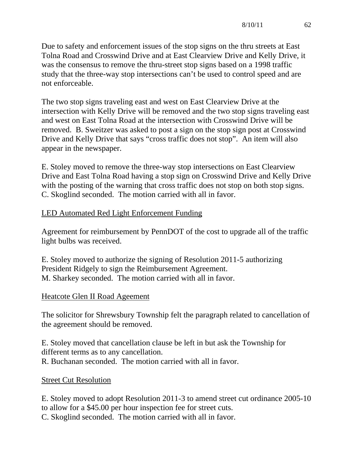Due to safety and enforcement issues of the stop signs on the thru streets at East Tolna Road and Crosswind Drive and at East Clearview Drive and Kelly Drive, it was the consensus to remove the thru-street stop signs based on a 1998 traffic study that the three-way stop intersections can't be used to control speed and are not enforceable.

The two stop signs traveling east and west on East Clearview Drive at the intersection with Kelly Drive will be removed and the two stop signs traveling east and west on East Tolna Road at the intersection with Crosswind Drive will be removed. B. Sweitzer was asked to post a sign on the stop sign post at Crosswind Drive and Kelly Drive that says "cross traffic does not stop". An item will also appear in the newspaper.

E. Stoley moved to remove the three-way stop intersections on East Clearview Drive and East Tolna Road having a stop sign on Crosswind Drive and Kelly Drive with the posting of the warning that cross traffic does not stop on both stop signs. C. Skoglind seconded. The motion carried with all in favor.

## LED Automated Red Light Enforcement Funding

Agreement for reimbursement by PennDOT of the cost to upgrade all of the traffic light bulbs was received.

E. Stoley moved to authorize the signing of Resolution 2011-5 authorizing President Ridgely to sign the Reimbursement Agreement. M. Sharkey seconded. The motion carried with all in favor.

## Heatcote Glen II Road Ageement

The solicitor for Shrewsbury Township felt the paragraph related to cancellation of the agreement should be removed.

E. Stoley moved that cancellation clause be left in but ask the Township for different terms as to any cancellation. R. Buchanan seconded. The motion carried with all in favor.

## Street Cut Resolution

E. Stoley moved to adopt Resolution 2011-3 to amend street cut ordinance 2005-10 to allow for a \$45.00 per hour inspection fee for street cuts. C. Skoglind seconded. The motion carried with all in favor.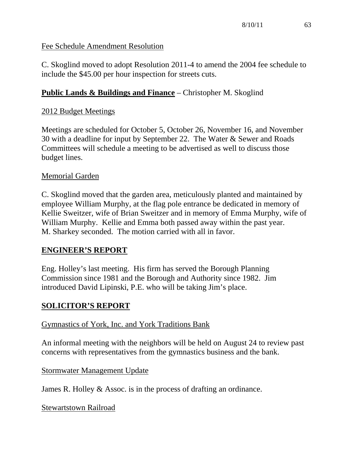## Fee Schedule Amendment Resolution

C. Skoglind moved to adopt Resolution 2011-4 to amend the 2004 fee schedule to include the \$45.00 per hour inspection for streets cuts.

## **Public Lands & Buildings and Finance** – Christopher M. Skoglind

## 2012 Budget Meetings

Meetings are scheduled for October 5, October 26, November 16, and November 30 with a deadline for input by September 22. The Water & Sewer and Roads Committees will schedule a meeting to be advertised as well to discuss those budget lines.

## Memorial Garden

C. Skoglind moved that the garden area, meticulously planted and maintained by employee William Murphy, at the flag pole entrance be dedicated in memory of Kellie Sweitzer, wife of Brian Sweitzer and in memory of Emma Murphy, wife of William Murphy. Kellie and Emma both passed away within the past year. M. Sharkey seconded. The motion carried with all in favor.

## **ENGINEER'S REPORT**

Eng. Holley's last meeting. His firm has served the Borough Planning Commission since 1981 and the Borough and Authority since 1982. Jim introduced David Lipinski, P.E. who will be taking Jim's place.

## **SOLICITOR'S REPORT**

## Gymnastics of York, Inc. and York Traditions Bank

An informal meeting with the neighbors will be held on August 24 to review past concerns with representatives from the gymnastics business and the bank.

Stormwater Management Update

James R. Holley & Assoc. is in the process of drafting an ordinance.

Stewartstown Railroad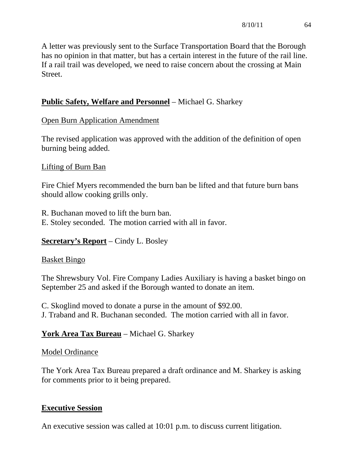A letter was previously sent to the Surface Transportation Board that the Borough has no opinion in that matter, but has a certain interest in the future of the rail line. If a rail trail was developed, we need to raise concern about the crossing at Main Street.

# **Public Safety, Welfare and Personnel** – Michael G. Sharkey

## Open Burn Application Amendment

The revised application was approved with the addition of the definition of open burning being added.

## Lifting of Burn Ban

Fire Chief Myers recommended the burn ban be lifted and that future burn bans should allow cooking grills only.

R. Buchanan moved to lift the burn ban. E. Stoley seconded. The motion carried with all in favor.

## **Secretary's Report** – Cindy L. Bosley

## Basket Bingo

The Shrewsbury Vol. Fire Company Ladies Auxiliary is having a basket bingo on September 25 and asked if the Borough wanted to donate an item.

C. Skoglind moved to donate a purse in the amount of \$92.00. J. Traband and R. Buchanan seconded. The motion carried with all in favor.

## **York Area Tax Bureau** – Michael G. Sharkey

## Model Ordinance

The York Area Tax Bureau prepared a draft ordinance and M. Sharkey is asking for comments prior to it being prepared.

## **Executive Session**

An executive session was called at 10:01 p.m. to discuss current litigation.